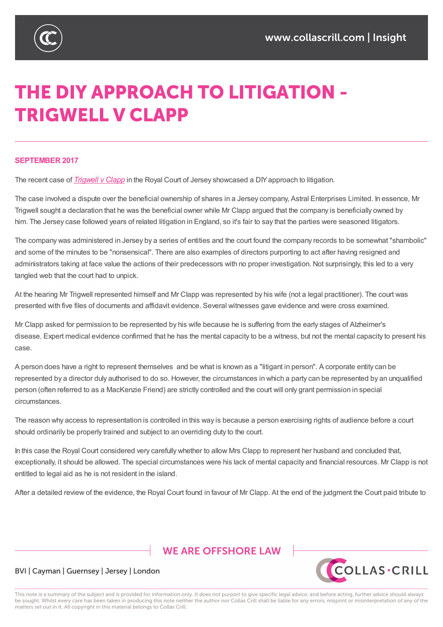

# THE DIY APPROACH TO LITIGATION -**TRIGWELL V CLAPP**

#### **SEPTEMBER 2017**

The recent case of *Trigwell v Clapp* in the Royal Court of Jersey showcased a DIY approach to litigation.

The case involved a dispute over the beneficial ownership of shares in a Jersey company, Astral Enterprises Limited. In essence, Mr Trigwell sought a declaration that he was the beneficial owner while Mr Clapp argued that the company is beneficially owned by him. The Jersey case [followed](https://www.jerseylaw.je/judgments/unreported/Pages/[2017]JRC145.aspx) years of related litigation in England, so it's fair to say that the parties were seasoned litigators.

The company was administered in Jersey by a series of entities and the court found the company records to be somewhat "shambolic" and some of the minutes to be "nonsensical". There are also examples of directors purporting to act after having resigned and administrators taking at face value the actions of their predecessors with no proper investigation. Not surprisingly, this led to a very tangled web that the court had to unpick.

At the hearing Mr Trigwell represented himself and Mr Clapp was represented by his wife (not a legal practitioner). The court was presented with five files of documents and affidavit evidence. Several witnesses gave evidence and were cross examined.

Mr Clapp asked for permission to be represented by his wife because he is suffering from the early stages of Alzheimer's disease. Expert medical evidence confirmed that he has the mental capacity to be a witness, but not the mental capacity to present his case.

A person does have a right to represent themselves and be what is known as a "litigant in person". A corporate entity can be represented by a director duly authorised to do so. However, the circumstances in which a party can be represented by an unqualified person (often referred to as a MacKenzie Friend) are strictly controlled and the court will only grant permission in special circumstances.

The reason why access to representation is controlled in this way is because a person exercising rights of audience before a court should ordinarily be properly trained and subject to an overriding duty to the court.

In this case the Royal Court considered very carefully whether to allow Mrs Clapp to represent her husband and concluded that, exceptionally, it should be allowed. The special circumstances were his lack of mental capacity and financial resources. Mr Clapp is not entitled to legal aid as he is not resident in the island.

After a detailed review of the evidence, the Royal Court found in favour of Mr Clapp. At the end of the judgment the Court paid tribute to

## **WE ARE OFFSHORE LAW**



### BVI | Cayman | Guernsey | Jersey | London

This note is a summary of the subject and is provided for information only. It does not purport to give specific legal advice, and before acting, further advice should always be sought. Whilst every care has been taken in producing this note neither the author nor Collas Crill shall be liable for any errors, misprint or misinterpretation of any of the matters set out in it. All copyright in this material belongs to Collas Crill.